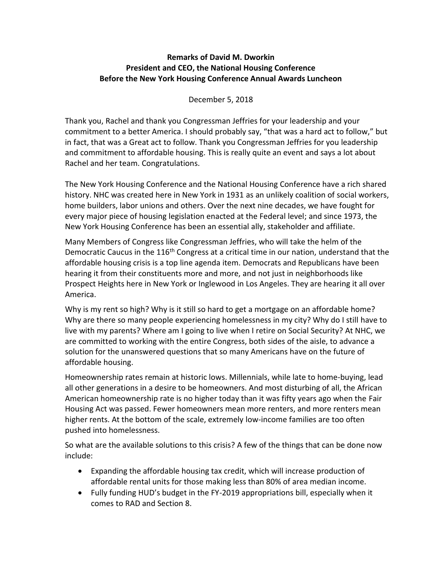## **Remarks of David M. Dworkin President and CEO, the National Housing Conference Before the New York Housing Conference Annual Awards Luncheon**

## December 5, 2018

Thank you, Rachel and thank you Congressman Jeffries for your leadership and your commitment to a better America. I should probably say, "that was a hard act to follow," but in fact, that was a Great act to follow. Thank you Congressman Jeffries for you leadership and commitment to affordable housing. This is really quite an event and says a lot about Rachel and her team. Congratulations.

The New York Housing Conference and the National Housing Conference have a rich shared history. NHC was created here in New York in 1931 as an unlikely coalition of social workers, home builders, labor unions and others. Over the next nine decades, we have fought for every major piece of housing legislation enacted at the Federal level; and since 1973, the New York Housing Conference has been an essential ally, stakeholder and affiliate.

Many Members of Congress like Congressman Jeffries, who will take the helm of the Democratic Caucus in the 116<sup>th</sup> Congress at a critical time in our nation, understand that the affordable housing crisis is a top line agenda item. Democrats and Republicans have been hearing it from their constituents more and more, and not just in neighborhoods like Prospect Heights here in New York or Inglewood in Los Angeles. They are hearing it all over America.

Why is my rent so high? Why is it still so hard to get a mortgage on an affordable home? Why are there so many people experiencing homelessness in my city? Why do I still have to live with my parents? Where am I going to live when I retire on Social Security? At NHC, we are committed to working with the entire Congress, both sides of the aisle, to advance a solution for the unanswered questions that so many Americans have on the future of affordable housing.

Homeownership rates remain at historic lows. Millennials, while late to home-buying, lead all other generations in a desire to be homeowners. And most disturbing of all, the African American homeownership rate is no higher today than it was fifty years ago when the Fair Housing Act was passed. Fewer homeowners mean more renters, and more renters mean higher rents. At the bottom of the scale, extremely low-income families are too often pushed into homelessness.

So what are the available solutions to this crisis? A few of the things that can be done now include:

- Expanding the affordable housing tax credit, which will increase production of affordable rental units for those making less than 80% of area median income.
- Fully funding HUD's budget in the FY-2019 appropriations bill, especially when it comes to RAD and Section 8.